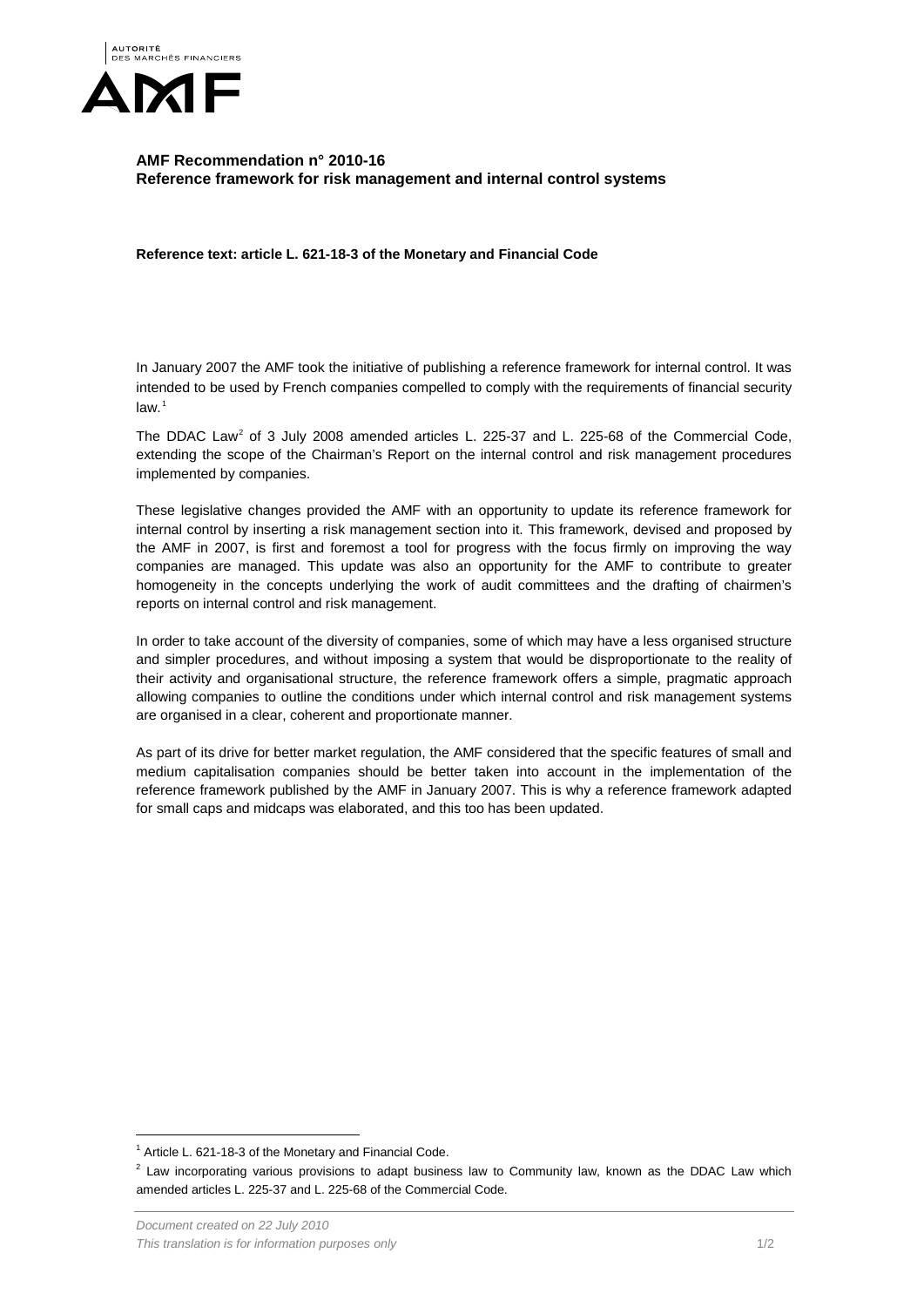

## **AMF Recommendation n° 2010-16 Reference framework for risk management and internal control systems**

**Reference text: article L. 621-18-3 of the Monetary and Financial Code**

In January 2007 the AMF took the initiative of publishing a reference framework for internal control. It was intended to be used by French companies compelled to comply with the requirements of financial security  $law.<sup>1</sup>$  $law.<sup>1</sup>$  $law.<sup>1</sup>$ 

The DDAC Law<sup>[2](#page-0-1)</sup> of 3 July 2008 amended articles L. 225-37 and L. 225-68 of the Commercial Code, extending the scope of the Chairman's Report on the internal control and risk management procedures implemented by companies.

These legislative changes provided the AMF with an opportunity to update its reference framework for internal control by inserting a risk management section into it. This framework, devised and proposed by the AMF in 2007, is first and foremost a tool for progress with the focus firmly on improving the way companies are managed. This update was also an opportunity for the AMF to contribute to greater homogeneity in the concepts underlying the work of audit committees and the drafting of chairmen's reports on internal control and risk management.

In order to take account of the diversity of companies, some of which may have a less organised structure and simpler procedures, and without imposing a system that would be disproportionate to the reality of their activity and organisational structure, the reference framework offers a simple, pragmatic approach allowing companies to outline the conditions under which internal control and risk management systems are organised in a clear, coherent and proportionate manner.

As part of its drive for better market regulation, the AMF considered that the specific features of small and medium capitalisation companies should be better taken into account in the implementation of the reference framework published by the AMF in January 2007. This is why a reference framework adapted for small caps and midcaps was elaborated, and this too has been updated.

<span id="page-0-0"></span> $1$  Article L. 621-18-3 of the Monetary and Financial Code.

<span id="page-0-1"></span> $2$  Law incorporating various provisions to adapt business law to Community law, known as the DDAC Law which amended articles L. 225-37 and L. 225-68 of the Commercial Code.